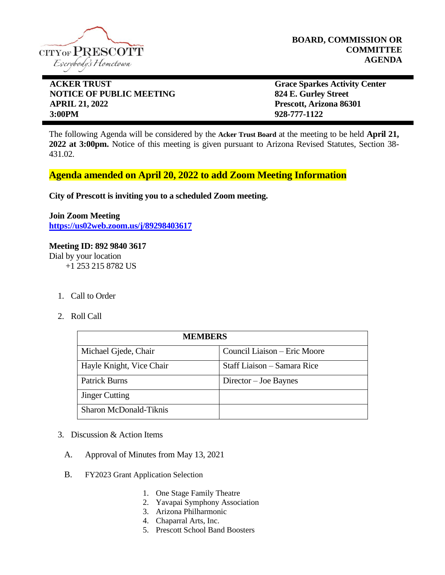

**BOARD, COMMISSION OR COMMITTEE AGENDA**

## **ACKER TRUST** Grace Sparkes Activity Center **NOTICE OF PUBLIC MEETING 824 E. Gurley Street APRIL 21, 2022 Prescott, Arizona 86301 3:00PM 928-777-1122**

The following Agenda will be considered by the **Acker Trust Board** at the meeting to be held **April 21, 2022 at 3:00pm.** Notice of this meeting is given pursuant to Arizona Revised Statutes, Section 38- 431.02.

## **Agenda amended on April 20, 2022 to add Zoom Meeting Information**

**City of Prescott is inviting you to a scheduled Zoom meeting.**

**Join Zoom Meeting <https://us02web.zoom.us/j/89298403617>**

# **Meeting ID: 892 9840 3617**

Dial by your location +1 253 215 8782 US

- 1. Call to Order
- 2. Roll Call

| <b>MEMBERS</b>                |                              |
|-------------------------------|------------------------------|
| Michael Gjede, Chair          | Council Liaison – Eric Moore |
| Hayle Knight, Vice Chair      | Staff Liaison – Samara Rice  |
| <b>Patrick Burns</b>          | Director – Joe Baynes        |
| <b>Jinger Cutting</b>         |                              |
| <b>Sharon McDonald-Tiknis</b> |                              |

- 3. Discussion & Action Items
	- A. Approval of Minutes from May 13, 2021
	- B. FY2023 Grant Application Selection
		- 1. One Stage Family Theatre
		- 2. Yavapai Symphony Association
		- 3. Arizona Philharmonic
		- 4. Chaparral Arts, Inc.
		- 5. Prescott School Band Boosters